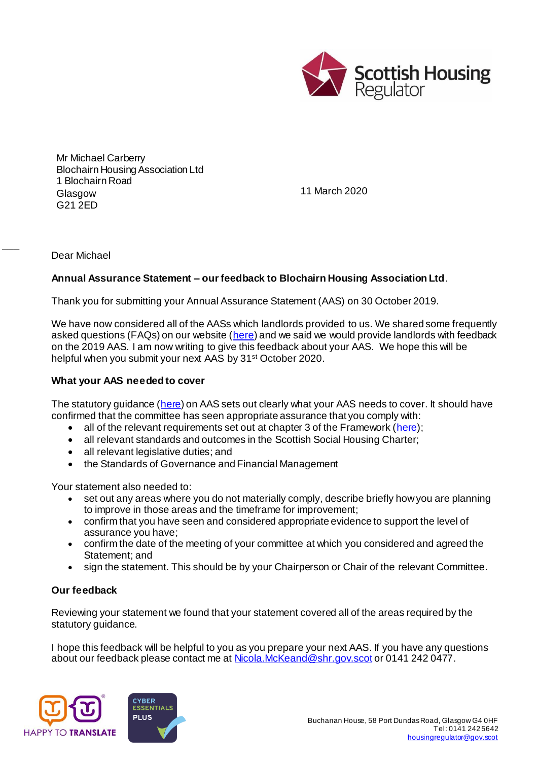

Mr Michael Carberry Blochairn Housing Association Ltd 1 Blochairn Road **Glasgow** G21 2ED

11 March 2020

Dear Michael

 $\overline{\phantom{a}}$ 

## **Annual Assurance Statement – our feedback to Blochairn Housing Association Ltd**.

Thank you for submitting your Annual Assurance Statement (AAS) on 30 October 2019.

We have now considered all of the AASs which landlords provided to us. We shared some frequently asked questions (FAQs) on our website [\(here](https://www.housingregulator.gov.scot/for-landlords/advisory-guidance/technical-guidance/annual-assurance-statements-your-frequently-asked-questions)) and we said we would provide landlords with feedback on the 2019 AAS. I am now writing to give this feedback about your AAS. We hope this will be helpful when you submit your next AAS by 31<sup>st</sup> October 2020.

## **What your AAS needed to cover**

The statutory guidance [\(here](https://www.housingregulator.gov.scot/for-landlords/statutory-guidance/annual-assurance-statement#section-4)) on AAS sets out clearly what your AAS needs to cover. It should have confirmed that the committee has seen appropriate assurance that you comply with:

- all of the relevant requirements set out at chapter 3 of the Framework ( $here$ );</u>
- all relevant standards and outcomes in the Scottish Social Housing Charter;
- all relevant legislative duties; and
- the Standards of Governance and Financial Management

Your statement also needed to:

- set out any areas where you do not materially comply, describe briefly how you are planning to improve in those areas and the timeframe for improvement;
- confirm that you have seen and considered appropriate evidence to support the level of assurance you have;
- confirm the date of the meeting of your committee at which you considered and agreed the Statement; and
- sign the statement. This should be by your Chairperson or Chair of the relevant Committee.

## **Our feedback**

Reviewing your statement we found that your statement covered all of the areas required by the statutory guidance.

I hope this feedback will be helpful to you as you prepare your next AAS. If you have any questions about our feedback please contact me a[t Nicola.McKeand@shr.gov.scot](mailto:Nicola.McKeand@shr.gov.scot) or 0141 242 0477.